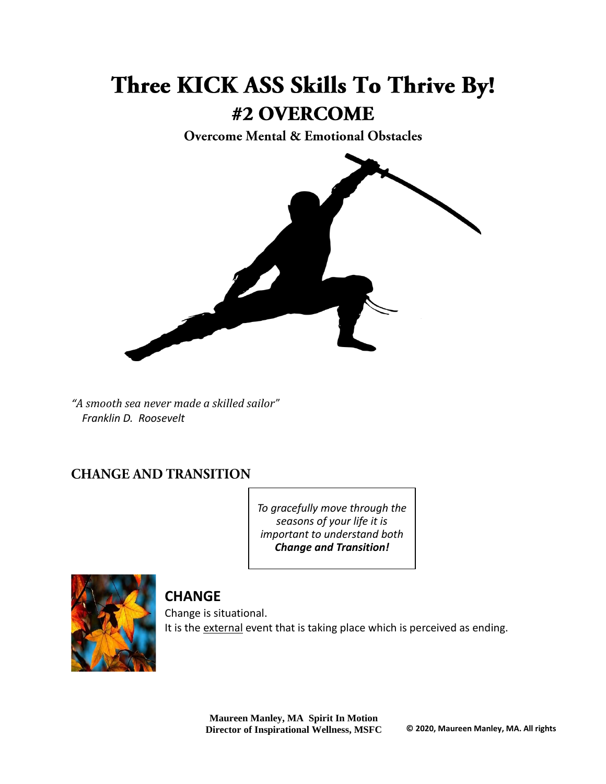# Three KICK ASS Skills To Thrive By! #2 OVERCOME

**Overcome Mental & Emotional Obstacles** 



*"A smooth sea never made a skilled sailor" Franklin D. Roosevelt*

### **CHANGE AND TRANSITION**

*To gracefully move through the seasons of your life it is important to understand both Change and Transition!*



## **CHANGE**

Change is situational. It is the external event that is taking place which is perceived as ending.

> **Maureen Manley, MA Spirit In Motion Director of Inspirational Wellness, MSFC © 2020, Maureen Manley, MA. All rights**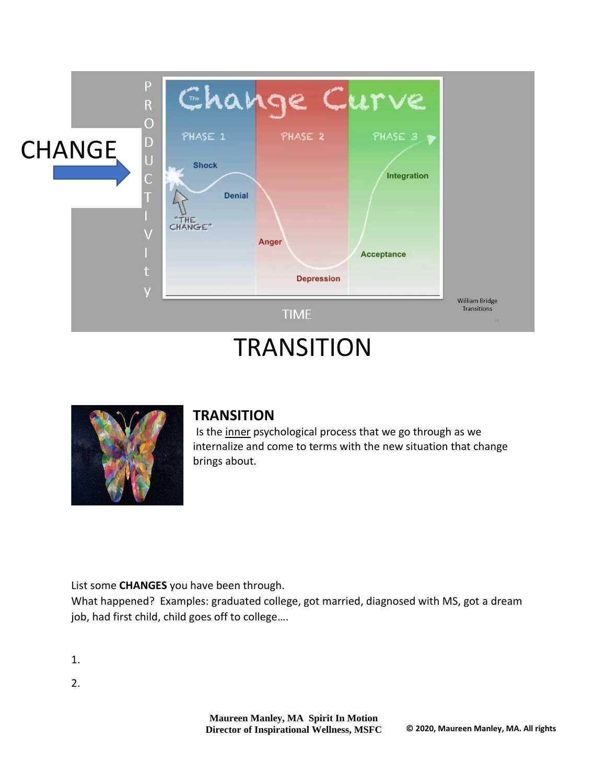

# **TRANSITION**



#### **TRANSITION**

Is the inner psychological process that we go through as we internalize and come to terms with the new situation that change brings about.

List some **CHANGES** you have been through.

What happened? Examples: graduated college, got married, diagnosed with MS, got a dream job, had first child, child goes off to college….

1.

2.

**Maureen Manley, MA Spirit In Motion Director of Inspirational Wellness, MSFC © 2020, Maureen Manley, MA. All rights**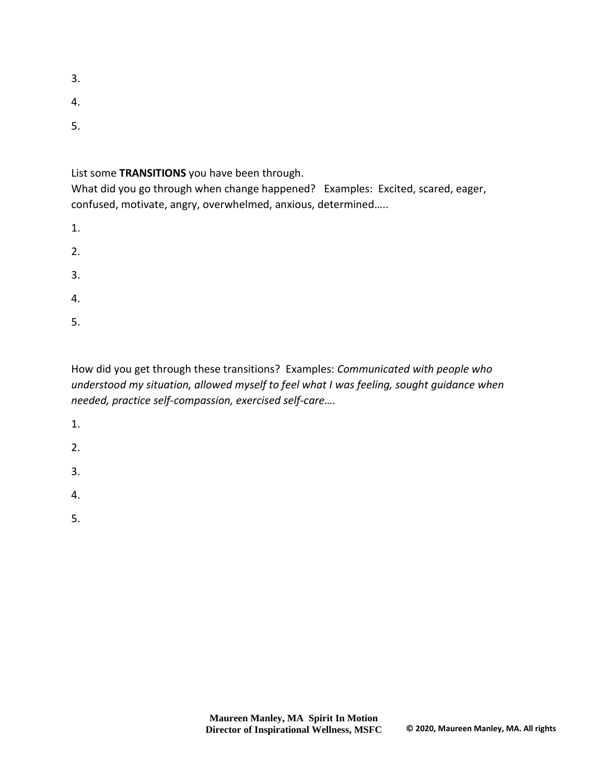- 3.
- 4.
- 5.

List some **TRANSITIONS** you have been through.

What did you go through when change happened? Examples: Excited, scared, eager, confused, motivate, angry, overwhelmed, anxious, determined…..

1.

2.

3.

4.

5.

How did you get through these transitions? Examples: *Communicated with people who understood my situation, allowed myself to feel what I was feeling, sought guidance when needed, practice self-compassion, exercised self-care….*

1.

2.

3.

4.

5.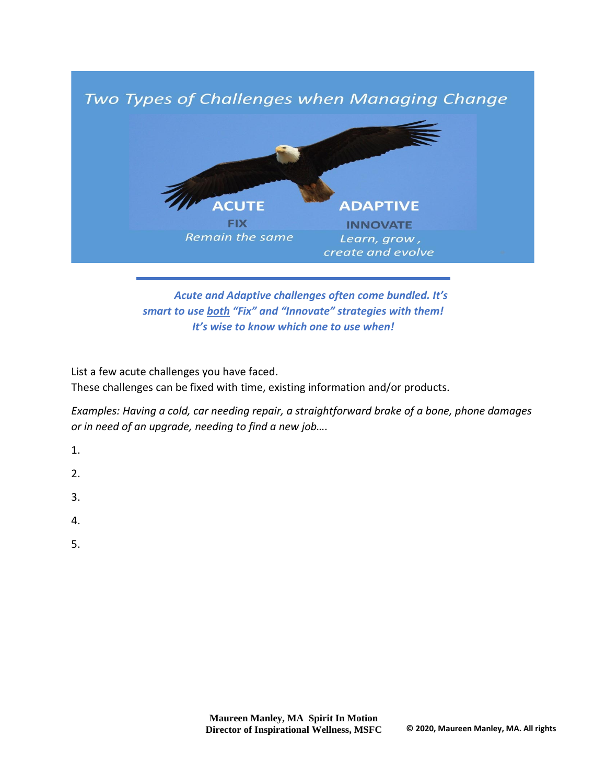

*Acute and Adaptive challenges often come bundled. It's smart to use both "Fix" and "Innovate" strategies with them! It's wise to know which one to use when!*

List a few acute challenges you have faced.

These challenges can be fixed with time, existing information and/or products.

*Examples: Having a cold, car needing repair, a straightforward brake of a bone, phone damages or in need of an upgrade, needing to find a new job….*

- 1.
- $2<sub>1</sub>$
- 3.
- 4.
- 5.